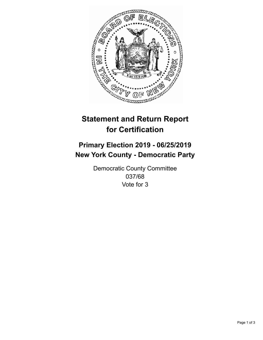

## **Statement and Return Report for Certification**

## **Primary Election 2019 - 06/25/2019 New York County - Democratic Party**

Democratic County Committee 037/68 Vote for 3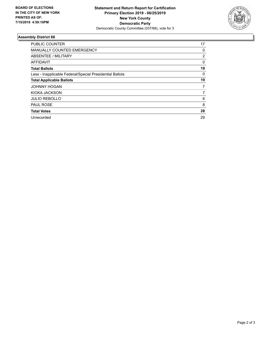

## **Assembly District 68**

| <b>PUBLIC COUNTER</b>                                    | 17       |
|----------------------------------------------------------|----------|
| <b>MANUALLY COUNTED EMERGENCY</b>                        | 0        |
| ABSENTEE / MILITARY                                      | 2        |
| AFFIDAVIT                                                | $\Omega$ |
| <b>Total Ballots</b>                                     | 19       |
| Less - Inapplicable Federal/Special Presidential Ballots | 0        |
| <b>Total Applicable Ballots</b>                          | 19       |
| <b>JOHNNY HOGAN</b>                                      | 7        |
| KIOKA JACKSON                                            | 7        |
| <b>JULIO REBOLLO</b>                                     | 6        |
| <b>PAUL ROSE</b>                                         | 8        |
| <b>Total Votes</b>                                       | 28       |
| Unrecorded                                               | 29       |